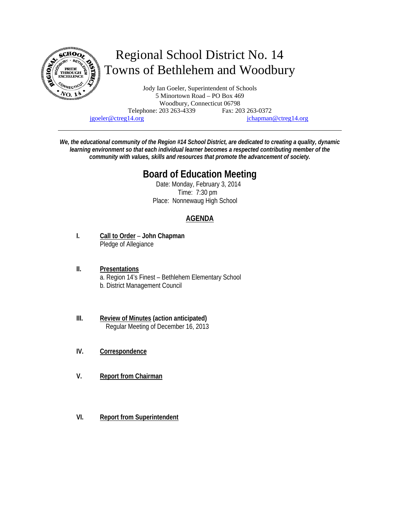

# Regional School District No. 14 Towns of Bethlehem and Woodbury

Jody Ian Goeler, Superintendent of Schools 5 Minortown Road – PO Box 469 Woodbury, Connecticut 06798 Telephone: 203 263-4339 Fax: 203 263-0372 jgoeler@ctreg14.org jchapman@ctreg14.org

*We, the educational community of the Region #14 School District, are dedicated to creating a quality, dynamic learning environment so that each individual learner becomes a respected contributing member of the community with values, skills and resources that promote the advancement of society.* 

## **Board of Education Meeting**

 Date: Monday, February 3, 2014 Time: 7:30 pm Place: Nonnewaug High School

### **AGENDA**

- **I. Call to Order John Chapman** Pledge of Allegiance
- **II. Presentations** a. Region 14's Finest – Bethlehem Elementary School b. District Management Council
- **III. Review of Minutes (action anticipated)** Regular Meeting of December 16, 2013
- **IV. Correspondence**
- **V. Report from Chairman**
- **VI. Report from Superintendent**